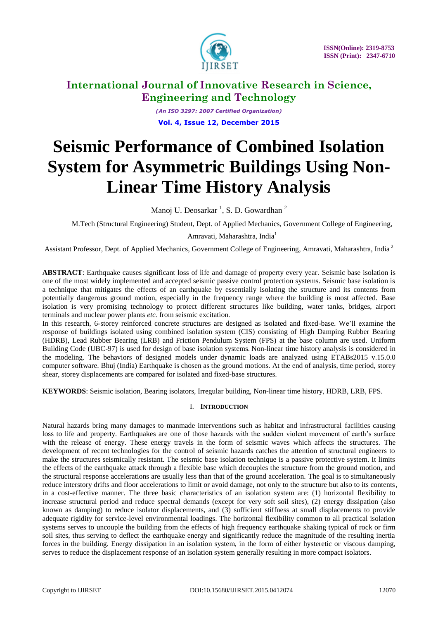

*(An ISO 3297: 2007 Certified Organization)* **Vol. 4, Issue 12, December 2015**

# **Seismic Performance of Combined Isolation System for Asymmetric Buildings Using Non-Linear Time History Analysis**

Manoj U. Deosarkar <sup>1</sup>, S. D. Gowardhan <sup>2</sup>

M.Tech (Structural Engineering) Student, Dept. of Applied Mechanics, Government College of Engineering,

Amravati, Maharashtra, India<sup>1</sup>

Assistant Professor, Dept. of Applied Mechanics, Government College of Engineering, Amravati, Maharashtra, India<sup>2</sup>

**ABSTRACT**: Earthquake causes significant loss of life and damage of property every year. Seismic base isolation is one of the most widely implemented and accepted seismic passive control protection systems. Seismic base isolation is a technique that mitigates the effects of an earthquake by essentially isolating the structure and its contents from potentially dangerous ground motion, especially in the frequency range where the building is most affected. Base isolation is very promising technology to protect different structures like building, water tanks, bridges, airport terminals and nuclear power plants *etc.* from seismic excitation.

In this research, 6-storey reinforced concrete structures are designed as isolated and fixed-base. We'll examine the response of buildings isolated using combined isolation system (CIS) consisting of High Damping Rubber Bearing (HDRB), Lead Rubber Bearing (LRB) and Friction Pendulum System (FPS) at the base column are used. Uniform Building Code (UBC-97) is used for design of base isolation systems. Non-linear time history analysis is considered in the modeling. The behaviors of designed models under dynamic loads are analyzed using ETABs2015 v.15.0.0 computer software. Bhuj (India) Earthquake is chosen as the ground motions. At the end of analysis, time period, storey shear, storey displacements are compared for isolated and fixed-base structures.

**KEYWORDS**: Seismic isolation, Bearing isolators, Irregular building, Non-linear time history, HDRB, LRB, FPS.

#### I. **INTRODUCTION**

Natural hazards bring many damages to manmade interventions such as habitat and infrastructural facilities causing loss to life and property. Earthquakes are one of those hazards with the sudden violent movement of earth's surface with the release of energy. These energy travels in the form of seismic waves which affects the structures. The development of recent technologies for the control of seismic hazards catches the attention of structural engineers to make the structures seismically resistant. The seismic base isolation technique is a passive protective system. It limits the effects of the earthquake attack through a flexible base which decouples the structure from the ground motion, and the structural response accelerations are usually less than that of the ground acceleration. The goal is to simultaneously reduce interstory drifts and floor accelerations to limit or avoid damage, not only to the structure but also to its contents, in a cost-effective manner. The three basic characteristics of an isolation system are: (1) horizontal flexibility to increase structural period and reduce spectral demands (except for very soft soil sites), (2) energy dissipation (also known as damping) to reduce isolator displacements, and (3) sufficient stiffness at small displacements to provide adequate rigidity for service-level environmental loadings. The horizontal flexibility common to all practical isolation systems serves to uncouple the building from the effects of high frequency earthquake shaking typical of rock or firm soil sites, thus serving to deflect the earthquake energy and significantly reduce the magnitude of the resulting inertia forces in the building. Energy dissipation in an isolation system, in the form of either hysteretic or viscous damping, serves to reduce the displacement response of an isolation system generally resulting in more compact isolators.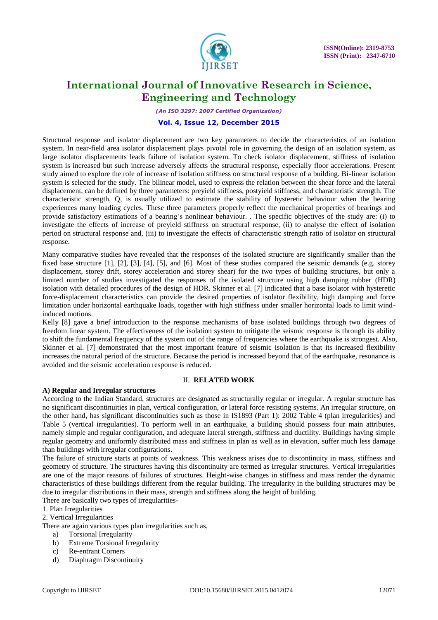

*(An ISO 3297: 2007 Certified Organization)*

#### **Vol. 4, Issue 12, December 2015**

Structural response and isolator displacement are two key parameters to decide the characteristics of an isolation system. In near-field area isolator displacement plays pivotal role in governing the design of an isolation system, as large isolator displacements leads failure of isolation system. To check isolator displacement, stiffness of isolation system is increased but such increase adversely affects the structural response, especially floor accelerations. Present study aimed to explore the role of increase of isolation stiffness on structural response of a building. Bi-linear isolation system is selected for the study. The bilinear model, used to express the relation between the shear force and the lateral displacement, can be defined by three parameters: preyield stiffness, postyield stiffness, and characteristic strength. The characteristic strength, Q, is usually utilized to estimate the stability of hysteretic behaviour when the bearing experiences many loading cycles. These three parameters properly reflect the mechanical properties of bearings and provide satisfactory estimations of a bearing's nonlinear behaviour. . The specific objectives of the study are: (i) to investigate the effects of increase of preyield stiffness on structural response, (ii) to analyse the effect of isolation period on structural response and, (iii) to investigate the effects of characteristic strength ratio of isolator on structural response.

Many comparative studies have revealed that the responses of the isolated structure are significantly smaller than the fixed base structure [1], [2], [3], [4], [5], and [6]. Most of these studies compared the seismic demands (e.g. storey displacement, storey drift, storey acceleration and storey shear) for the two types of building structures, but only a limited number of studies investigated the responses of the isolated structure using high damping rubber (HDR) isolation with detailed procedures of the design of HDR. Skinner et al. [7] indicated that a base isolator with hysteretic force-displacement characteristics can provide the desired properties of isolator flexibility, high damping and force limitation under horizontal earthquake loads, together with high stiffness under smaller horizontal loads to limit windinduced motions.

Kelly [8] gave a brief introduction to the response mechanisms of base isolated buildings through two degrees of freedom linear system. The effectiveness of the isolation system to mitigate the seismic response is through its ability to shift the fundamental frequency of the system out of the range of frequencies where the earthquake is strongest. Also, Skinner et al. [7] demonstrated that the most important feature of seismic isolation is that its increased flexibility increases the natural period of the structure. Because the period is increased beyond that of the earthquake, resonance is avoided and the seismic acceleration response is reduced.

#### II. **RELATED WORK**

#### **A) Regular and Irregular structures**

According to the Indian Standard, structures are designated as structurally regular or irregular. A regular structure has no significant discontinuities in plan, vertical configuration, or lateral force resisting systems. An irregular structure, on the other hand, has significant discontinuities such as those in IS1893 (Part 1): 2002 Table 4 (plan irregularities) and Table 5 (vertical irregularities). To perform well in an earthquake, a building should possess four main attributes, namely simple and regular configuration, and adequate lateral strength, stiffness and ductility. Buildings having simple regular geometry and uniformly distributed mass and stiffness in plan as well as in elevation, suffer much less damage than buildings with irregular configurations.

The failure of structure starts at points of weakness. This weakness arises due to discontinuity in mass, stiffness and geometry of structure. The structures having this discontinuity are termed as Irregular structures. Vertical irregularities are one of the major reasons of failures of structures. Height-wise changes in stiffness and mass render the dynamic characteristics of these buildings different from the regular building. The irregularity in the building structures may be due to irregular distributions in their mass, strength and stiffness along the height of building.

There are basically two types of irregularities-

1. Plan Irregularities

2. Vertical Irregularities

There are again various types plan irregularities such as,

- a) Torsional Irregularity
- b) Extreme Torsional Irregularity
- c) Re-entrant Corners
- d) Diaphragm Discontinuity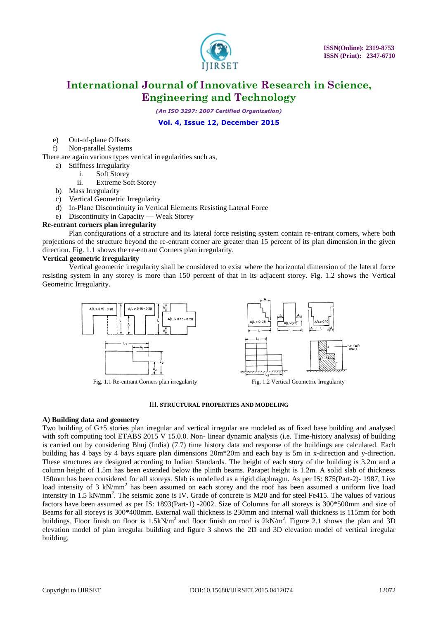

*(An ISO 3297: 2007 Certified Organization)*

#### **Vol. 4, Issue 12, December 2015**

- e) Out-of-plane Offsets
- f) Non-parallel Systems

There are again various types vertical irregularities such as,

- a) Stiffness Irregularity
	- i. Soft Storey
	- ii. Extreme Soft Storey
- b) Mass Irregularity
- c) Vertical Geometric Irregularity
- d) In-Plane Discontinuity in Vertical Elements Resisting Lateral Force
- e) Discontinuity in Capacity Weak Storey

#### **Re-entrant corners plan irregularity**

Plan configurations of a structure and its lateral force resisting system contain re-entrant corners, where both projections of the structure beyond the re-entrant corner are greater than 15 percent of its plan dimension in the given direction. Fig. 1.1 shows the re-entrant Corners plan irregularity.

#### **Vertical geometric irregularity**

Vertical geometric irregularity shall be considered to exist where the horizontal dimension of the lateral force resisting system in any storey is more than 150 percent of that in its adjacent storey. Fig. 1.2 shows the Vertical Geometric Irregularity.



#### III. **STRUCTURAL PROPERTIES AND MODELING**

#### **A) Building data and geometry**

Two building of G+5 stories plan irregular and vertical irregular are modeled as of fixed base building and analysed with soft computing tool ETABS 2015 V 15.0.0. Non- linear dynamic analysis (i.e. Time-history analysis) of building is carried out by considering Bhuj (India) (7.7) time history data and response of the buildings are calculated. Each building has 4 bays by 4 bays square plan dimensions 20m\*20m and each bay is 5m in x-direction and y-direction. These structures are designed according to Indian Standards. The height of each story of the building is 3.2m and a column height of 1.5m has been extended below the plinth beams. Parapet height is 1.2m. A solid slab of thickness 150mm has been considered for all storeys. Slab is modelled as a rigid diaphragm. As per IS: 875(Part-2)- 1987, Live load intensity of 3 kN/mm<sup>2</sup> has been assumed on each storey and the roof has been assumed a uniform live load intensity in 1.5 kN/mm<sup>2</sup>. The seismic zone is IV. Grade of concrete is M20 and for steel Fe415. The values of various factors have been assumed as per IS: 1893(Part-1) -2002. Size of Columns for all storeys is 300\*500mm and size of Beams for all storeys is 300\*400mm. External wall thickness is 230mm and internal wall thickness is 115mm for both buildings. Floor finish on floor is  $1.5kN/m^2$  and floor finish on roof is  $2kN/m^2$ . Figure 2.1 shows the plan and 3D elevation model of plan irregular building and figure 3 shows the 2D and 3D elevation model of vertical irregular building.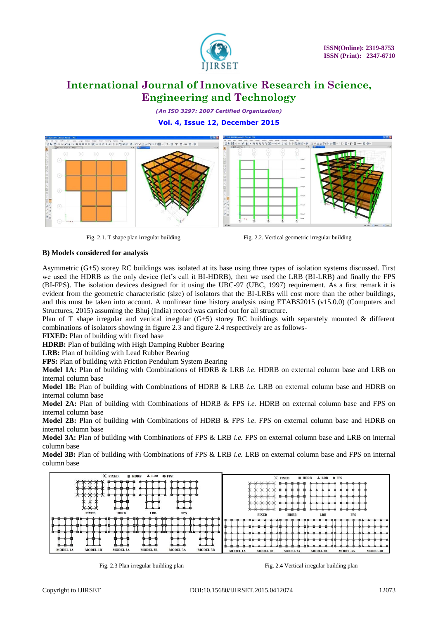

*(An ISO 3297: 2007 Certified Organization)*

#### **Vol. 4, Issue 12, December 2015**







#### **B) Models considered for analysis**

Asymmetric (G+5) storey RC buildings was isolated at its base using three types of isolation systems discussed. First we used the HDRB as the only device (let's call it BI-HDRB), then we used the LRB (BI-LRB) and finally the FPS (BI-FPS). The isolation devices designed for it using the UBC-97 (UBC, 1997) requirement. As a first remark it is evident from the geometric characteristic (size) of isolators that the BI-LRBs will cost more than the other buildings, and this must be taken into account. A nonlinear time history analysis using ETABS2015 (v15.0.0) (Computers and Structures, 2015) assuming the Bhuj (India) record was carried out for all structure.

Plan of T shape irregular and vertical irregular (G+5) storey RC buildings with separately mounted & different combinations of isolators showing in figure 2.3 and figure 2.4 respectively are as follows-

**FIXED:** Plan of building with fixed base

**HDRB:** Plan of building with High Damping Rubber Bearing

**LRB:** Plan of building with Lead Rubber Bearing

**FPS:** Plan of building with Friction Pendulum System Bearing

**Model 1A:** Plan of building with Combinations of HDRB & LRB *i.e.* HDRB on external column base and LRB on internal column base

**Model 1B:** Plan of building with Combinations of HDRB & LRB *i.e.* LRB on external column base and HDRB on internal column base

**Model 2A:** Plan of building with Combinations of HDRB & FPS *i.e.* HDRB on external column base and FPS on internal column base

**Model 2B:** Plan of building with Combinations of HDRB & FPS *i.e.* FPS on external column base and HDRB on internal column base

**Model 3A:** Plan of building with Combinations of FPS & LRB *i.e.* FPS on external column base and LRB on internal column base

**Model 3B:** Plan of building with Combinations of FPS & LRB *i.e.* LRB on external column base and FPS on internal column base



Fig. 2.3 Plan irregular building plan Fig. 2.4 Vertical irregular building plan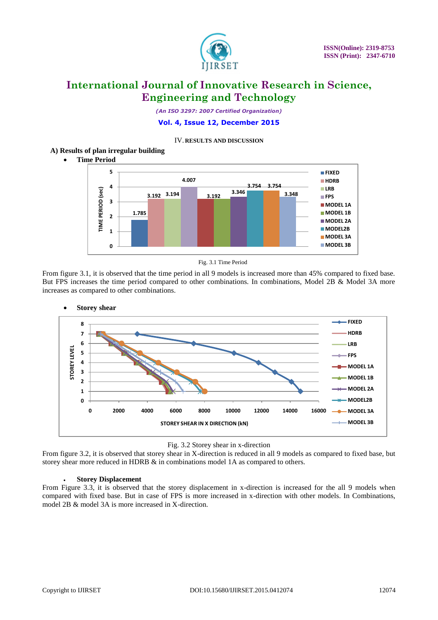

*(An ISO 3297: 2007 Certified Organization)*

#### **Vol. 4, Issue 12, December 2015**

#### IV. **RESULTS AND DISCUSSION**

#### **A) Results of plan irregular building**

**Time Period**



Fig. 3.1 Time Period

From figure 3.1, it is observed that the time period in all 9 models is increased more than 45% compared to fixed base. But FPS increases the time period compared to other combinations. In combinations, Model 2B & Model 3A more increases as compared to other combinations.



Fig. 3.2 Storey shear in x-direction

From figure 3.2, it is observed that storey shear in X-direction is reduced in all 9 models as compared to fixed base, but storey shear more reduced in HDRB & in combinations model 1A as compared to others.

#### **Storey Displacement**

From Figure 3.3, it is observed that the storey displacement in x-direction is increased for the all 9 models when compared with fixed base. But in case of FPS is more increased in x-direction with other models. In Combinations, model 2B & model 3A is more increased in X-direction.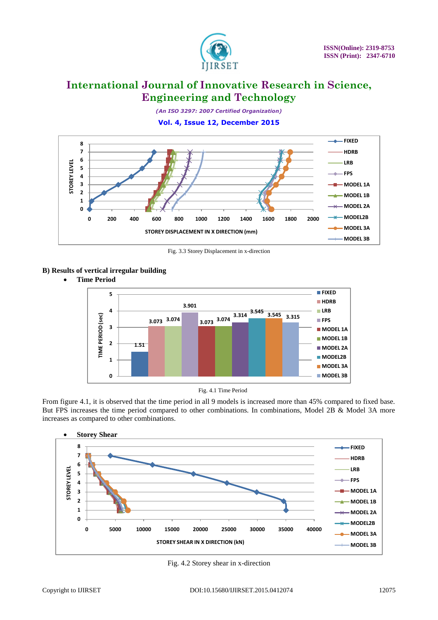

*(An ISO 3297: 2007 Certified Organization)*

### **Vol. 4, Issue 12, December 2015**



Fig. 3.3 Storey Displacement in x-direction

#### **B) Results of vertical irregular building**





From figure 4.1, it is observed that the time period in all 9 models is increased more than 45% compared to fixed base. But FPS increases the time period compared to other combinations. In combinations, Model 2B & Model 3A more increases as compared to other combinations.



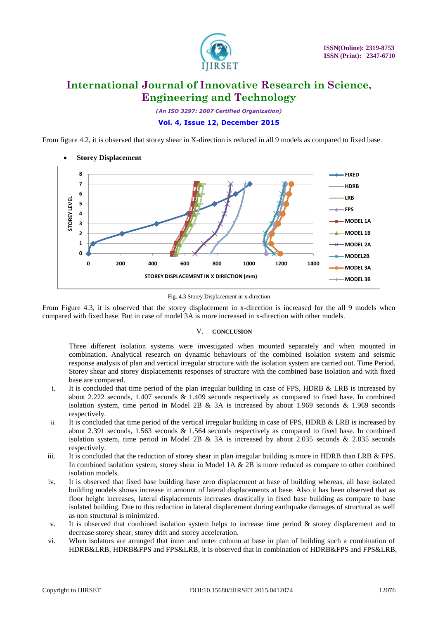

*(An ISO 3297: 2007 Certified Organization)*

### **Vol. 4, Issue 12, December 2015**

From figure 4.2, it is observed that storey shear in X-direction is reduced in all 9 models as compared to fixed base.







From Figure 4.3, it is observed that the storey displacement in x-direction is increased for the all 9 models when compared with fixed base. But in case of model 3A is more increased in x-direction with other models.

#### V. **CONCLUSION**

Three different isolation systems were investigated when mounted separately and when mounted in combination. Analytical research on dynamic behaviours of the combined isolation system and seismic response analysis of plan and vertical irregular structure with the isolation system are carried out. Time Period, Storey shear and storey displacements responses of structure with the combined base isolation and with fixed base are compared.

- i. It is concluded that time period of the plan irregular building in case of FPS, HDRB & LRB is increased by about 2.222 seconds, 1.407 seconds & 1.409 seconds respectively as compared to fixed base. In combined isolation system, time period in Model 2B & 3A is increased by about 1.969 seconds & 1.969 seconds respectively.
- ii. It is concluded that time period of the vertical irregular building in case of FPS, HDRB & LRB is increased by about 2.391 seconds, 1.563 seconds & 1.564 seconds respectively as compared to fixed base. In combined isolation system, time period in Model 2B & 3A is increased by about 2.035 seconds & 2.035 seconds respectively.
- iii. It is concluded that the reduction of storey shear in plan irregular building is more in HDRB than LRB  $&$  FPS. In combined isolation system, storey shear in Model 1A & 2B is more reduced as compare to other combined isolation models.
- iv. It is observed that fixed base building have zero displacement at base of building whereas, all base isolated building models shows increase in amount of lateral displacements at base. Also it has been observed that as floor height increases, lateral displacements increases drastically in fixed base building as compare to base isolated building. Due to this reduction in lateral displacement during earthquake damages of structural as well as non structural is minimized.
- v. It is observed that combined isolation system helps to increase time period & storey displacement and to decrease storey shear, storey drift and storey acceleration.
- vi. When isolators are arranged that inner and outer column at base in plan of building such a combination of HDRB&LRB, HDRB&FPS and FPS&LRB, it is observed that in combination of HDRB&FPS and FPS&LRB,